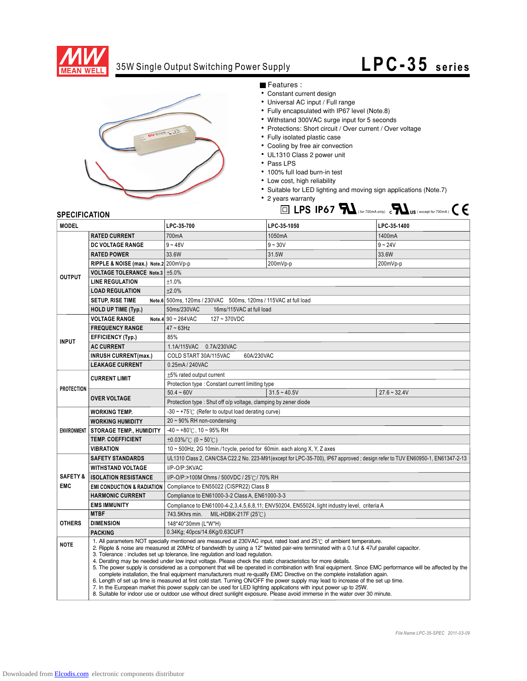

## 35W Single Output Switching Power Supply

## **LPC- 35 series**



Features :

- Constant current design
- Universal AC input / Full range
- Fully encapsulated with IP67 level (Note.8)
- Withstand 300VAC surge input for 5 seconds
- Protections: Short circuit / Over current / Over voltage
- Fully isolated plastic case
- Cooling by free air convection
- UL1310 Class 2 power unit
- Pass LPS
- 100% full load burn-in test
- Low cost, high reliability
- Suitable for LED lighting and moving sign applications (Note.7)
- 2 years warranty **LPS IP67**  $\mathbf{M}$ <sub>(for 700mA only) c $\mathbf{M}$ <sub>US</sub> (except for 700mA)  $\mathbf{C}$   $\mathbf{\epsilon}$ </sub>

## **SPECIFICATION**

| <b>MODEL</b>                      |                                                                                                                                                                                                                                                                                                                                                                                                                                                                                                                                                                                                                                                                                                                                                                                                                                                                                                                                                                                                                                                                                                                                                         | LPC-35-700                                                                                                                   | LPC-35-1050                                                                                 | LPC-35-1400    |
|-----------------------------------|---------------------------------------------------------------------------------------------------------------------------------------------------------------------------------------------------------------------------------------------------------------------------------------------------------------------------------------------------------------------------------------------------------------------------------------------------------------------------------------------------------------------------------------------------------------------------------------------------------------------------------------------------------------------------------------------------------------------------------------------------------------------------------------------------------------------------------------------------------------------------------------------------------------------------------------------------------------------------------------------------------------------------------------------------------------------------------------------------------------------------------------------------------|------------------------------------------------------------------------------------------------------------------------------|---------------------------------------------------------------------------------------------|----------------|
|                                   | <b>RATED CURRENT</b>                                                                                                                                                                                                                                                                                                                                                                                                                                                                                                                                                                                                                                                                                                                                                                                                                                                                                                                                                                                                                                                                                                                                    | 700mA                                                                                                                        | 1050mA                                                                                      | 1400mA         |
| <b>OUTPUT</b>                     | <b>DC VOLTAGE RANGE</b>                                                                                                                                                                                                                                                                                                                                                                                                                                                                                                                                                                                                                                                                                                                                                                                                                                                                                                                                                                                                                                                                                                                                 | $9 - 48V$                                                                                                                    | $9 - 30V$                                                                                   | $9 - 24V$      |
|                                   | <b>RATED POWER</b>                                                                                                                                                                                                                                                                                                                                                                                                                                                                                                                                                                                                                                                                                                                                                                                                                                                                                                                                                                                                                                                                                                                                      | 33.6W                                                                                                                        | 31.5W                                                                                       | 33.6W          |
|                                   | RIPPLE & NOISE (max.) Note.2 200mVp-p                                                                                                                                                                                                                                                                                                                                                                                                                                                                                                                                                                                                                                                                                                                                                                                                                                                                                                                                                                                                                                                                                                                   |                                                                                                                              | 200mVp-p                                                                                    | 200mVp-p       |
|                                   | VOLTAGE TOLERANCE Note.3   ±5.0%                                                                                                                                                                                                                                                                                                                                                                                                                                                                                                                                                                                                                                                                                                                                                                                                                                                                                                                                                                                                                                                                                                                        |                                                                                                                              |                                                                                             |                |
|                                   | <b>LINE REGULATION</b>                                                                                                                                                                                                                                                                                                                                                                                                                                                                                                                                                                                                                                                                                                                                                                                                                                                                                                                                                                                                                                                                                                                                  | ±1.0%                                                                                                                        |                                                                                             |                |
|                                   | <b>LOAD REGULATION</b>                                                                                                                                                                                                                                                                                                                                                                                                                                                                                                                                                                                                                                                                                                                                                                                                                                                                                                                                                                                                                                                                                                                                  | ±2.0%                                                                                                                        |                                                                                             |                |
|                                   | <b>SETUP, RISE TIME</b>                                                                                                                                                                                                                                                                                                                                                                                                                                                                                                                                                                                                                                                                                                                                                                                                                                                                                                                                                                                                                                                                                                                                 | Note.6 500ms, 120ms / 230VAC 500ms, 120ms / 115VAC at full load                                                              |                                                                                             |                |
|                                   | <b>HOLD UP TIME (Typ.)</b>                                                                                                                                                                                                                                                                                                                                                                                                                                                                                                                                                                                                                                                                                                                                                                                                                                                                                                                                                                                                                                                                                                                              | 50ms/230VAC<br>16ms/115VAC at full load                                                                                      |                                                                                             |                |
|                                   | <b>VOLTAGE RANGE</b>                                                                                                                                                                                                                                                                                                                                                                                                                                                                                                                                                                                                                                                                                                                                                                                                                                                                                                                                                                                                                                                                                                                                    | Note.4 90 ~ 264VAC<br>127~370VDC                                                                                             |                                                                                             |                |
| <b>INPUT</b>                      | <b>FREQUENCY RANGE</b>                                                                                                                                                                                                                                                                                                                                                                                                                                                                                                                                                                                                                                                                                                                                                                                                                                                                                                                                                                                                                                                                                                                                  | $47 - 63$ Hz                                                                                                                 |                                                                                             |                |
|                                   | <b>EFFICIENCY (Typ.)</b>                                                                                                                                                                                                                                                                                                                                                                                                                                                                                                                                                                                                                                                                                                                                                                                                                                                                                                                                                                                                                                                                                                                                | 85%                                                                                                                          |                                                                                             |                |
|                                   | <b>AC CURRENT</b>                                                                                                                                                                                                                                                                                                                                                                                                                                                                                                                                                                                                                                                                                                                                                                                                                                                                                                                                                                                                                                                                                                                                       | 1.1A/115VAC 0.7A/230VAC                                                                                                      |                                                                                             |                |
|                                   | <b>INRUSH CURRENT(max.)</b>                                                                                                                                                                                                                                                                                                                                                                                                                                                                                                                                                                                                                                                                                                                                                                                                                                                                                                                                                                                                                                                                                                                             | 60A/230VAC<br>COLD START 30A/115VAC                                                                                          |                                                                                             |                |
|                                   | <b>LEAKAGE CURRENT</b>                                                                                                                                                                                                                                                                                                                                                                                                                                                                                                                                                                                                                                                                                                                                                                                                                                                                                                                                                                                                                                                                                                                                  | 0.25mA / 240VAC                                                                                                              |                                                                                             |                |
| <b>PROTECTION</b>                 | <b>CURRENT LIMIT</b>                                                                                                                                                                                                                                                                                                                                                                                                                                                                                                                                                                                                                                                                                                                                                                                                                                                                                                                                                                                                                                                                                                                                    | ±5% rated output current                                                                                                     |                                                                                             |                |
|                                   |                                                                                                                                                                                                                                                                                                                                                                                                                                                                                                                                                                                                                                                                                                                                                                                                                                                                                                                                                                                                                                                                                                                                                         | Protection type: Constant current limiting type                                                                              |                                                                                             |                |
|                                   | <b>OVER VOLTAGE</b>                                                                                                                                                                                                                                                                                                                                                                                                                                                                                                                                                                                                                                                                                                                                                                                                                                                                                                                                                                                                                                                                                                                                     | $50.4 - 60V$                                                                                                                 | $31.5 - 40.5V$                                                                              | $27.6 - 32.4V$ |
|                                   |                                                                                                                                                                                                                                                                                                                                                                                                                                                                                                                                                                                                                                                                                                                                                                                                                                                                                                                                                                                                                                                                                                                                                         | Protection type : Shut off o/p voltage, clamping by zener diode                                                              |                                                                                             |                |
|                                   | <b>WORKING TEMP.</b>                                                                                                                                                                                                                                                                                                                                                                                                                                                                                                                                                                                                                                                                                                                                                                                                                                                                                                                                                                                                                                                                                                                                    | $-30 \sim +75^{\circ}$ (Refer to output load derating curve)                                                                 |                                                                                             |                |
| <b>ENVIRONMENT</b>                | <b>WORKING HUMIDITY</b>                                                                                                                                                                                                                                                                                                                                                                                                                                                                                                                                                                                                                                                                                                                                                                                                                                                                                                                                                                                                                                                                                                                                 | $20 \sim 90\%$ RH non-condensing                                                                                             |                                                                                             |                |
|                                   | <b>STORAGE TEMP., HUMIDITY</b>                                                                                                                                                                                                                                                                                                                                                                                                                                                                                                                                                                                                                                                                                                                                                                                                                                                                                                                                                                                                                                                                                                                          | $-40 - +80$ °C, 10 ~ 95% RH                                                                                                  |                                                                                             |                |
|                                   | <b>TEMP, COEFFICIENT</b>                                                                                                                                                                                                                                                                                                                                                                                                                                                                                                                                                                                                                                                                                                                                                                                                                                                                                                                                                                                                                                                                                                                                | $\pm 0.03\%$ /°C (0 ~ 50°C)                                                                                                  |                                                                                             |                |
|                                   | VIBRATION                                                                                                                                                                                                                                                                                                                                                                                                                                                                                                                                                                                                                                                                                                                                                                                                                                                                                                                                                                                                                                                                                                                                               | 10 ~ 500Hz, 2G 10min./1cycle, period for 60min. each along X, Y, Z axes                                                      |                                                                                             |                |
| <b>SAFETY &amp;</b><br><b>EMC</b> | <b>SAFETY STANDARDS</b>                                                                                                                                                                                                                                                                                                                                                                                                                                                                                                                                                                                                                                                                                                                                                                                                                                                                                                                                                                                                                                                                                                                                 | UL1310 Class 2, CAN/CSA C22.2 No. 223-M91(except for LPC-35-700), IP67 approved; design refer to TUV EN60950-1, EN61347-2-13 |                                                                                             |                |
|                                   | <b>WITHSTAND VOLTAGE</b>                                                                                                                                                                                                                                                                                                                                                                                                                                                                                                                                                                                                                                                                                                                                                                                                                                                                                                                                                                                                                                                                                                                                | I/P-O/P:3KVAC                                                                                                                |                                                                                             |                |
|                                   | <b>ISOLATION RESISTANCE</b>                                                                                                                                                                                                                                                                                                                                                                                                                                                                                                                                                                                                                                                                                                                                                                                                                                                                                                                                                                                                                                                                                                                             | I/P-O/P:>100M Ohms / 500VDC / 25°C / 70% RH                                                                                  |                                                                                             |                |
|                                   | <b>EMI CONDUCTION &amp; RADIATION</b>                                                                                                                                                                                                                                                                                                                                                                                                                                                                                                                                                                                                                                                                                                                                                                                                                                                                                                                                                                                                                                                                                                                   | Compliance to EN55022 (CISPR22) Class B                                                                                      |                                                                                             |                |
|                                   | <b>HARMONIC CURRENT</b>                                                                                                                                                                                                                                                                                                                                                                                                                                                                                                                                                                                                                                                                                                                                                                                                                                                                                                                                                                                                                                                                                                                                 | Compliance to EN61000-3-2 Class A, EN61000-3-3                                                                               |                                                                                             |                |
| <b>EMS IMMUNITY</b>               |                                                                                                                                                                                                                                                                                                                                                                                                                                                                                                                                                                                                                                                                                                                                                                                                                                                                                                                                                                                                                                                                                                                                                         |                                                                                                                              | Compliance to EN61000-4-2,3,4,5,6,8,11; ENV50204, EN55024, light industry level, criteria A |                |
| <b>OTHERS</b>                     | <b>MTBF</b>                                                                                                                                                                                                                                                                                                                                                                                                                                                                                                                                                                                                                                                                                                                                                                                                                                                                                                                                                                                                                                                                                                                                             | 743.5Khrs min.<br>MIL-HDBK-217F (25℃)                                                                                        |                                                                                             |                |
|                                   | <b>DIMENSION</b>                                                                                                                                                                                                                                                                                                                                                                                                                                                                                                                                                                                                                                                                                                                                                                                                                                                                                                                                                                                                                                                                                                                                        | 148*40*30mm (L*W*H)                                                                                                          |                                                                                             |                |
|                                   | <b>PACKING</b>                                                                                                                                                                                                                                                                                                                                                                                                                                                                                                                                                                                                                                                                                                                                                                                                                                                                                                                                                                                                                                                                                                                                          | 0.34Kg; 40pcs/14.6Kg/0.63CUFT                                                                                                |                                                                                             |                |
| <b>NOTE</b>                       | 1. All parameters NOT specially mentioned are measured at 230VAC input, rated load and 25°C of ambient temperature.<br>2. Ripple & noise are measured at 20MHz of bandwidth by using a 12" twisted pair-wire terminated with a 0.1uf & 47uf parallel capacitor.<br>3. Tolerance: includes set up tolerance, line regulation and load regulation.<br>4. Derating may be needed under low input voltage. Please check the static characteristics for more details.<br>5. The power supply is considered as a component that will be operated in combination with final equipment. Since EMC performance will be affected by the<br>complete installation, the final equipment manufacturers must re-qualify EMC Directive on the complete installation again.<br>6. Length of set up time is measured at first cold start. Turning ON/OFF the power supply may lead to increase of the set up time.<br>7. In the European market this power supply can be used for LED lighting applications with input power up to 25W.<br>8. Suitable for indoor use or outdoor use without direct sunlight exposure. Please avoid immerse in the water over 30 minute. |                                                                                                                              |                                                                                             |                |